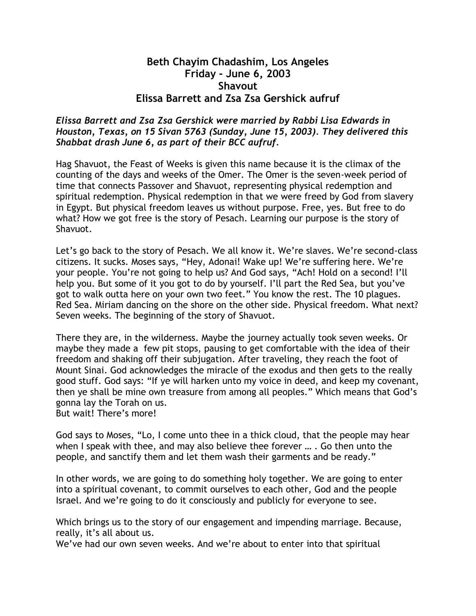## **Beth Chayim Chadashim, Los Angeles Friday - June 6, 2003 Shavout Elissa Barrett and Zsa Zsa Gershick aufruf**

## *Elissa Barrett and Zsa Zsa Gershick were married by Rabbi Lisa Edwards in Houston, Texas, on 15 Sivan 5763 (Sunday, June 15, 2003). They delivered this Shabbat drash June 6, as part of their BCC aufruf.*

Hag Shavuot, the Feast of Weeks is given this name because it is the climax of the counting of the days and weeks of the Omer. The Omer is the seven-week period of time that connects Passover and Shavuot, representing physical redemption and spiritual redemption. Physical redemption in that we were freed by God from slavery in Egypt. But physical freedom leaves us without purpose. Free, yes. But free to do what? How we got free is the story of Pesach. Learning our purpose is the story of Shavuot.

Let's go back to the story of Pesach. We all know it. We're slaves. We're second-class citizens. It sucks. Moses says, "Hey, Adonai! Wake up! We're suffering here. We're your people. You're not going to help us? And God says, "Ach! Hold on a second! I'll help you. But some of it you got to do by yourself. I'll part the Red Sea, but you've got to walk outta here on your own two feet." You know the rest. The 10 plagues. Red Sea. Miriam dancing on the shore on the other side. Physical freedom. What next? Seven weeks. The beginning of the story of Shavuot.

There they are, in the wilderness. Maybe the journey actually took seven weeks. Or maybe they made a few pit stops, pausing to get comfortable with the idea of their freedom and shaking off their subjugation. After traveling, they reach the foot of Mount Sinai. God acknowledges the miracle of the exodus and then gets to the really good stuff. God says: "If ye will harken unto my voice in deed, and keep my covenant, then ye shall be mine own treasure from among all peoples." Which means that God's gonna lay the Torah on us.

But wait! There's more!

God says to Moses, "Lo, I come unto thee in a thick cloud, that the people may hear when I speak with thee, and may also believe thee forever … . Go then unto the people, and sanctify them and let them wash their garments and be ready."

In other words, we are going to do something holy together. We are going to enter into a spiritual covenant, to commit ourselves to each other, God and the people Israel. And we're going to do it consciously and publicly for everyone to see.

Which brings us to the story of our engagement and impending marriage. Because, really, it's all about us.

We've had our own seven weeks. And we're about to enter into that spiritual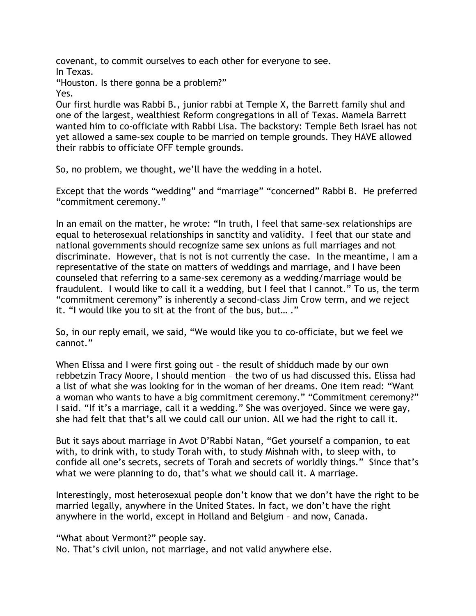covenant, to commit ourselves to each other for everyone to see.

In Texas. "Houston. Is there gonna be a problem?" Yes.

Our first hurdle was Rabbi B., junior rabbi at Temple X, the Barrett family shul and one of the largest, wealthiest Reform congregations in all of Texas. Mamela Barrett wanted him to co-officiate with Rabbi Lisa. The backstory: Temple Beth Israel has not yet allowed a same-sex couple to be married on temple grounds. They HAVE allowed their rabbis to officiate OFF temple grounds.

So, no problem, we thought, we'll have the wedding in a hotel.

Except that the words "wedding" and "marriage" "concerned" Rabbi B. He preferred "commitment ceremony."

In an email on the matter, he wrote: "In truth, I feel that same-sex relationships are equal to heterosexual relationships in sanctity and validity. I feel that our state and national governments should recognize same sex unions as full marriages and not discriminate. However, that is not is not currently the case. In the meantime, I am a representative of the state on matters of weddings and marriage, and I have been counseled that referring to a same-sex ceremony as a wedding/marriage would be fraudulent. I would like to call it a wedding, but I feel that I cannot." To us, the term "commitment ceremony" is inherently a second-class Jim Crow term, and we reject it. "I would like you to sit at the front of the bus, but… ."

So, in our reply email, we said, "We would like you to co-officiate, but we feel we cannot."

When Elissa and I were first going out – the result of shidduch made by our own rebbetzin Tracy Moore, I should mention – the two of us had discussed this. Elissa had a list of what she was looking for in the woman of her dreams. One item read: "Want a woman who wants to have a big commitment ceremony." "Commitment ceremony?" I said. "If it's a marriage, call it a wedding." She was overjoyed. Since we were gay, she had felt that that's all we could call our union. All we had the right to call it.

But it says about marriage in Avot D'Rabbi Natan, "Get yourself a companion, to eat with, to drink with, to study Torah with, to study Mishnah with, to sleep with, to confide all one's secrets, secrets of Torah and secrets of worldly things." Since that's what we were planning to do, that's what we should call it. A marriage.

Interestingly, most heterosexual people don't know that we don't have the right to be married legally, anywhere in the United States. In fact, we don't have the right anywhere in the world, except in Holland and Belgium – and now, Canada.

"What about Vermont?" people say. No. That's civil union, not marriage, and not valid anywhere else.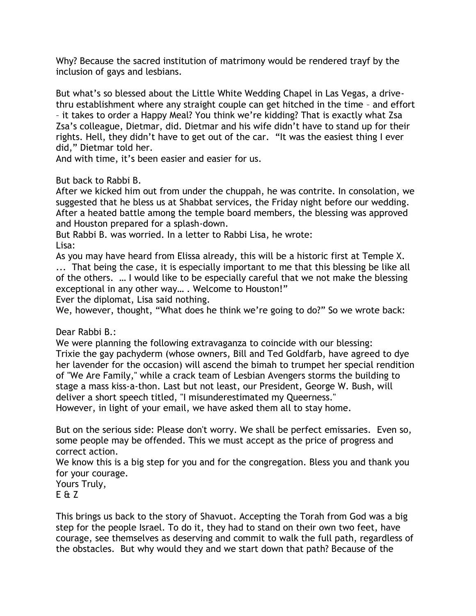Why? Because the sacred institution of matrimony would be rendered trayf by the inclusion of gays and lesbians.

But what's so blessed about the Little White Wedding Chapel in Las Vegas, a drivethru establishment where any straight couple can get hitched in the time – and effort – it takes to order a Happy Meal? You think we're kidding? That is exactly what Zsa Zsa's colleague, Dietmar, did. Dietmar and his wife didn't have to stand up for their rights. Hell, they didn't have to get out of the car. "It was the easiest thing I ever did," Dietmar told her.

And with time, it's been easier and easier for us.

But back to Rabbi B.

After we kicked him out from under the chuppah, he was contrite. In consolation, we suggested that he bless us at Shabbat services, the Friday night before our wedding. After a heated battle among the temple board members, the blessing was approved and Houston prepared for a splash-down.

But Rabbi B. was worried. In a letter to Rabbi Lisa, he wrote: Lisa:

As you may have heard from Elissa already, this will be a historic first at Temple X. ... That being the case, it is especially important to me that this blessing be like all of the others. … I would like to be especially careful that we not make the blessing exceptional in any other way… . Welcome to Houston!"

Ever the diplomat, Lisa said nothing.

We, however, thought, "What does he think we're going to do?" So we wrote back:

Dear Rabbi B.:

We were planning the following extravaganza to coincide with our blessing: Trixie the gay pachyderm (whose owners, Bill and Ted Goldfarb, have agreed to dye her lavender for the occasion) will ascend the bimah to trumpet her special rendition of "We Are Family," while a crack team of Lesbian Avengers storms the building to stage a mass kiss-a-thon. Last but not least, our President, George W. Bush, will deliver a short speech titled, "I misunderestimated my Queerness."

However, in light of your email, we have asked them all to stay home.

But on the serious side: Please don't worry. We shall be perfect emissaries. Even so, some people may be offended. This we must accept as the price of progress and correct action.

We know this is a big step for you and for the congregation. Bless you and thank you for your courage.

Yours Truly, E & Z

This brings us back to the story of Shavuot. Accepting the Torah from God was a big step for the people Israel. To do it, they had to stand on their own two feet, have courage, see themselves as deserving and commit to walk the full path, regardless of the obstacles. But why would they and we start down that path? Because of the